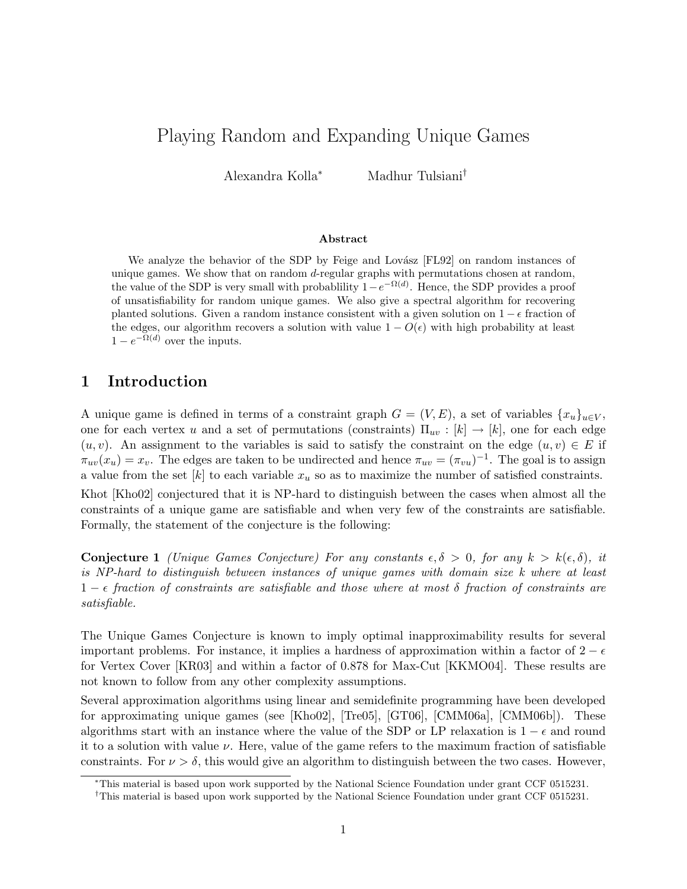# Playing Random and Expanding Unique Games

Alexandra Kolla<sup>∗</sup> Madhur Tulsiani†

#### Abstract

We analyze the behavior of the SDP by Feige and Lovász [FL92] on random instances of unique games. We show that on random d-regular graphs with permutations chosen at random, the value of the SDP is very small with probablility  $1-e^{-\Omega(d)}$ . Hence, the SDP provides a proof of unsatisfiability for random unique games. We also give a spectral algorithm for recovering planted solutions. Given a random instance consistent with a given solution on  $1 - \epsilon$  fraction of the edges, our algorithm recovers a solution with value  $1 - O(\epsilon)$  with high probability at least  $1 - e^{-\Omega(d)}$  over the inputs.

# 1 Introduction

A unique game is defined in terms of a constraint graph  $G = (V, E)$ , a set of variables  $\{x_u\}_{u \in V}$ , one for each vertex u and a set of permutations (constraints)  $\Pi_{uv} : [k] \to [k]$ , one for each edge  $(u, v)$ . An assignment to the variables is said to satisfy the constraint on the edge  $(u, v) \in E$  if  $\pi_{uv}(x_u) = x_v$ . The edges are taken to be undirected and hence  $\pi_{uv} = (\pi_{vu})^{-1}$ . The goal is to assign a value from the set  $[k]$  to each variable  $x_u$  so as to maximize the number of satisfied constraints. Khot [Kho02] conjectured that it is NP-hard to distinguish between the cases when almost all the constraints of a unique game are satisfiable and when very few of the constraints are satisfiable. Formally, the statement of the conjecture is the following:

**Conjecture 1** (Unique Games Conjecture) For any constants  $\epsilon, \delta > 0$ , for any  $k > k(\epsilon, \delta)$ , it is NP-hard to distinguish between instances of unique games with domain size k where at least  $1 - \epsilon$  fraction of constraints are satisfiable and those where at most  $\delta$  fraction of constraints are satisfiable.

The Unique Games Conjecture is known to imply optimal inapproximability results for several important problems. For instance, it implies a hardness of approximation within a factor of  $2 - \epsilon$ for Vertex Cover [KR03] and within a factor of 0.878 for Max-Cut [KKMO04]. These results are not known to follow from any other complexity assumptions.

Several approximation algorithms using linear and semidefinite programming have been developed for approximating unique games (see [Kho02], [Tre05], [GT06], [CMM06a], [CMM06b]). These algorithms start with an instance where the value of the SDP or LP relaxation is  $1 - \epsilon$  and round it to a solution with value  $\nu$ . Here, value of the game refers to the maximum fraction of satisfiable constraints. For  $\nu > \delta$ , this would give an algorithm to distinguish between the two cases. However,

<sup>∗</sup>This material is based upon work supported by the National Science Foundation under grant CCF 0515231.

<sup>†</sup>This material is based upon work supported by the National Science Foundation under grant CCF 0515231.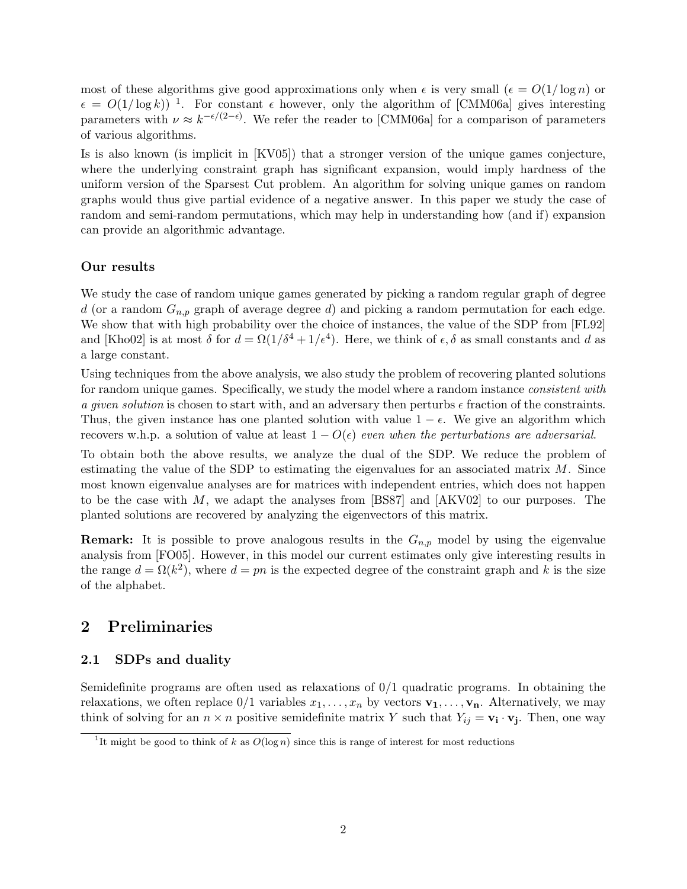most of these algorithms give good approximations only when  $\epsilon$  is very small  $(\epsilon = O(1/\log n))$  or  $\epsilon = O(1/\log k)^{-1}$ . For constant  $\epsilon$  however, only the algorithm of [CMM06a] gives interesting parameters with  $\nu \approx k^{-\epsilon/(2-\epsilon)}$ . We refer the reader to [CMM06a] for a comparison of parameters of various algorithms.

Is is also known (is implicit in [KV05]) that a stronger version of the unique games conjecture, where the underlying constraint graph has significant expansion, would imply hardness of the uniform version of the Sparsest Cut problem. An algorithm for solving unique games on random graphs would thus give partial evidence of a negative answer. In this paper we study the case of random and semi-random permutations, which may help in understanding how (and if) expansion can provide an algorithmic advantage.

### Our results

We study the case of random unique games generated by picking a random regular graph of degree d (or a random  $G_{n,p}$  graph of average degree d) and picking a random permutation for each edge. We show that with high probability over the choice of instances, the value of the SDP from [FL92] and [Kho02] is at most  $\delta$  for  $d = \Omega(1/\delta^4 + 1/\epsilon^4)$ . Here, we think of  $\epsilon, \delta$  as small constants and d as a large constant.

Using techniques from the above analysis, we also study the problem of recovering planted solutions for random unique games. Specifically, we study the model where a random instance *consistent with* a given solution is chosen to start with, and an adversary then perturbs  $\epsilon$  fraction of the constraints. Thus, the given instance has one planted solution with value  $1 - \epsilon$ . We give an algorithm which recovers w.h.p. a solution of value at least  $1 - O(\epsilon)$  even when the perturbations are adversarial.

To obtain both the above results, we analyze the dual of the SDP. We reduce the problem of estimating the value of the SDP to estimating the eigenvalues for an associated matrix  $M$ . Since most known eigenvalue analyses are for matrices with independent entries, which does not happen to be the case with  $M$ , we adapt the analyses from [BS87] and [AKV02] to our purposes. The planted solutions are recovered by analyzing the eigenvectors of this matrix.

**Remark:** It is possible to prove analogous results in the  $G_{n,p}$  model by using the eigenvalue analysis from [FO05]. However, in this model our current estimates only give interesting results in the range  $d = \Omega(k^2)$ , where  $d = pn$  is the expected degree of the constraint graph and k is the size of the alphabet.

# 2 Preliminaries

### 2.1 SDPs and duality

Semidefinite programs are often used as relaxations of 0/1 quadratic programs. In obtaining the relaxations, we often replace  $0/1$  variables  $x_1, \ldots, x_n$  by vectors  $\mathbf{v}_1, \ldots, \mathbf{v}_n$ . Alternatively, we may think of solving for an  $n \times n$  positive semidefinite matrix Y such that  $Y_{ij} = \mathbf{v}_i \cdot \mathbf{v}_j$ . Then, one way

<sup>&</sup>lt;sup>1</sup>It might be good to think of k as  $O(\log n)$  since this is range of interest for most reductions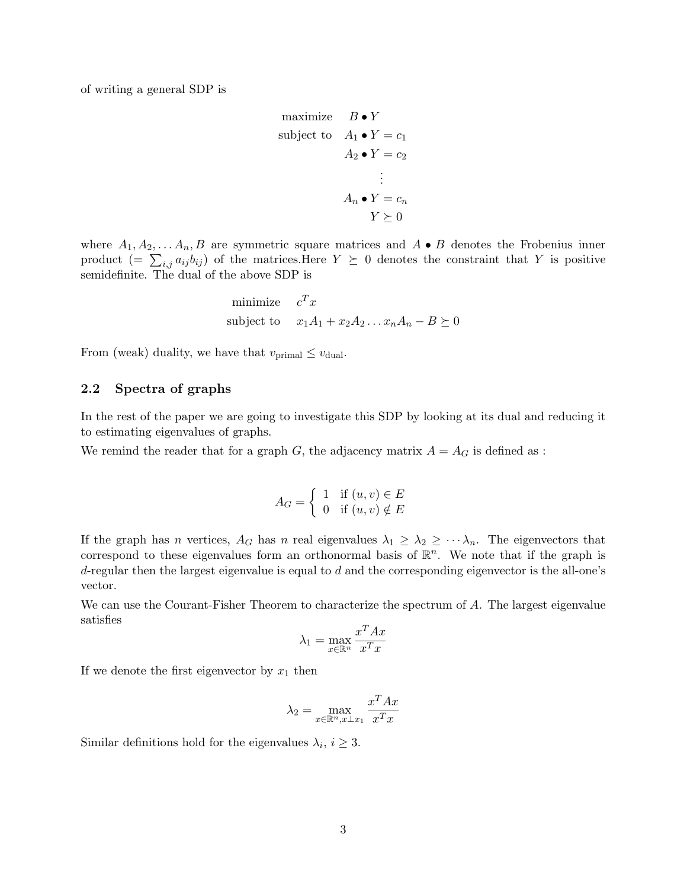of writing a general SDP is

maximize 
$$
B \cdot Y
$$
  
\nsubject to  $A_1 \cdot Y = c_1$   
\n $A_2 \cdot Y = c_2$   
\n:  
\n $A_n \cdot Y = c_n$   
\n $Y \succeq 0$ 

where  $A_1, A_2, \ldots, A_n, B$  are symmetric square matrices and  $A \bullet B$  denotes the Frobenius inner product  $(=\sum_{i,j} a_{ij} b_{ij})$  of the matrices.Here  $Y \succeq 0$  denotes the constraint that Y is positive semidefinite. The dual of the above SDP is

minimize 
$$
c^T x
$$
  
subject to  $x_1 A_1 + x_2 A_2 ... x_n A_n - B \succeq 0$ 

From (weak) duality, we have that  $v_{\text{primal}} \leq v_{\text{dual}}$ .

### 2.2 Spectra of graphs

In the rest of the paper we are going to investigate this SDP by looking at its dual and reducing it to estimating eigenvalues of graphs.

We remind the reader that for a graph G, the adjacency matrix  $A = A_G$  is defined as :

$$
A_G = \left\{ \begin{array}{ll} 1 & \text{if } (u, v) \in E \\ 0 & \text{if } (u, v) \notin E \end{array} \right.
$$

If the graph has n vertices,  $A_G$  has n real eigenvalues  $\lambda_1 \geq \lambda_2 \geq \cdots \lambda_n$ . The eigenvectors that correspond to these eigenvalues form an orthonormal basis of  $\mathbb{R}^n$ . We note that if the graph is  $d$ -regular then the largest eigenvalue is equal to  $d$  and the corresponding eigenvector is the all-one's vector.

We can use the Courant-Fisher Theorem to characterize the spectrum of A. The largest eigenvalue satisfies

$$
\lambda_1 = \max_{x \in \mathbb{R}^n} \frac{x^T A x}{x^T x}
$$

If we denote the first eigenvector by  $x_1$  then

$$
\lambda_2 = \max_{x \in \mathbb{R}^n, x \perp x_1} \frac{x^T A x}{x^T x}
$$

Similar definitions hold for the eigenvalues  $\lambda_i, i \geq 3$ .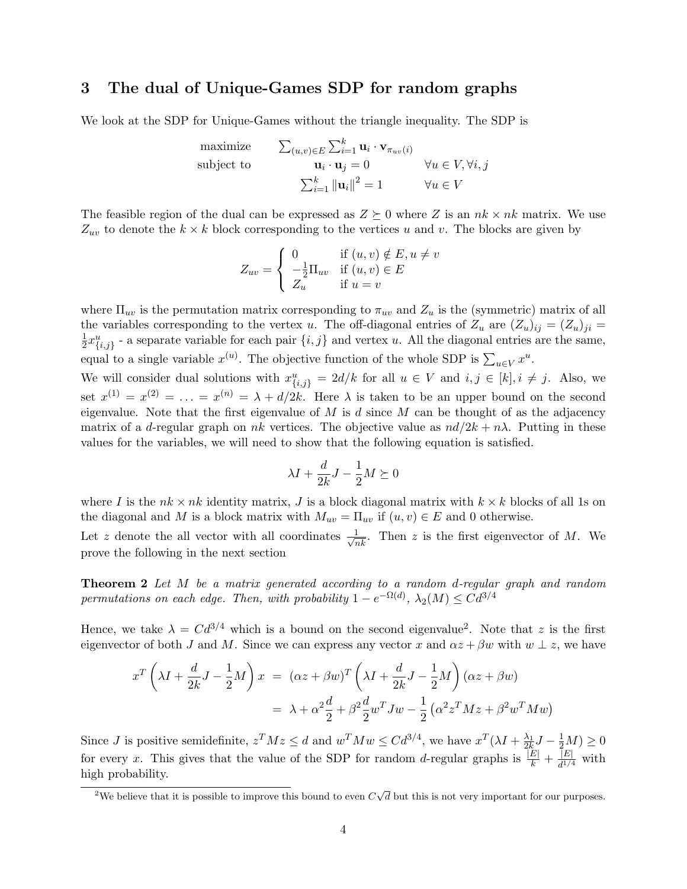# 3 The dual of Unique-Games SDP for random graphs

We look at the SDP for Unique-Games without the triangle inequality. The SDP is

maximize 
$$
\sum_{(u,v)\in E} \sum_{i=1}^{k} \mathbf{u}_i \cdot \mathbf{v}_{\pi_{uv}(i)}
$$
  
\nsubject to  $\mathbf{u}_i \cdot \mathbf{u}_j = 0 \qquad \forall u \in V, \forall i, j$   
\n $\sum_{i=1}^{k} ||\mathbf{u}_i||^2 = 1 \qquad \forall u \in V$ 

The feasible region of the dual can be expressed as  $Z \succeq 0$  where Z is an  $nk \times nk$  matrix. We use  $Z_{uv}$  to denote the  $k \times k$  block corresponding to the vertices u and v. The blocks are given by

$$
Z_{uv} = \begin{cases} 0 & \text{if } (u, v) \notin E, u \neq v \\ -\frac{1}{2} \Pi_{uv} & \text{if } (u, v) \in E \\ Z_u & \text{if } u = v \end{cases}
$$

where  $\Pi_{uv}$  is the permutation matrix corresponding to  $\pi_{uv}$  and  $Z_u$  is the (symmetric) matrix of all the variables corresponding to the vertex u. The off-diagonal entries of  $Z_u$  are  $(Z_u)_{ij} = (Z_u)_{ji} =$ 1  $\frac{1}{2}x_{\{i,j\}}^u$  - a separate variable for each pair  $\{i,j\}$  and vertex u. All the diagonal entries are the same, equal to a single variable  $x^{(u)}$ . The objective function of the whole SDP is  $\sum_{u \in V} x^u$ .

We will consider dual solutions with  $x_{\{i,j\}}^u = 2d/k$  for all  $u \in V$  and  $i, j \in [k], i \neq j$ . Also, we set  $x^{(1)} = x^{(2)} = \ldots = x^{(n)} = \lambda + d/2k$ . Here  $\lambda$  is taken to be an upper bound on the second eigenvalue. Note that the first eigenvalue of  $M$  is  $d$  since  $M$  can be thought of as the adjacency matrix of a d-regular graph on nk vertices. The objective value as  $nd/2k + n\lambda$ . Putting in these values for the variables, we will need to show that the following equation is satisfied.

$$
\lambda I + \frac{d}{2k}J - \frac{1}{2}M \succeq 0
$$

where I is the  $nk \times nk$  identity matrix, J is a block diagonal matrix with  $k \times k$  blocks of all 1s on the diagonal and M is a block matrix with  $M_{uv} = \Pi_{uv}$  if  $(u, v) \in E$  and 0 otherwise.

Let z denote the all vector with all coordinates  $\frac{1}{\sqrt{nk}}$ . Then z is the first eigenvector of M. We prove the following in the next section

Theorem 2 Let M be a matrix generated according to a random d-regular graph and random permutations on each edge. Then, with probability  $1 - e^{-\Omega(d)}$ ,  $\lambda_2(M) \leq C d^{3/4}$ 

Hence, we take  $\lambda = C d^{3/4}$  which is a bound on the second eigenvalue<sup>2</sup>. Note that z is the first eigenvector of both J and M. Since we can express any vector x and  $\alpha z + \beta w$  with  $w \perp z$ , we have

$$
x^T \left(\lambda I + \frac{d}{2k}J - \frac{1}{2}M\right)x = (\alpha z + \beta w)^T \left(\lambda I + \frac{d}{2k}J - \frac{1}{2}M\right)(\alpha z + \beta w)
$$
  
=  $\lambda + \alpha^2 \frac{d}{2} + \beta^2 \frac{d}{2}w^T Jw - \frac{1}{2}(\alpha^2 z^T M z + \beta^2 w^T M w)$ 

Since *J* is positive semidefinite,  $z^T M z \leq d$  and  $w^T M w \leq C d^{3/4}$ , we have  $x^T (\lambda I + \frac{\lambda_1}{2k} J - \frac{1}{2} M) \geq 0$ for every x. This gives that the value of the SDP for random d-regular graphs is  $\frac{|E|}{k} + \frac{|E|}{d^{1/4}}$  $\frac{|E|}{d^{1/4}}$  with high probability.

<sup>&</sup>lt;sup>2</sup>We believe that it is possible to improve this bound to even  $C\sqrt{d}$  but this is not very important for our purposes.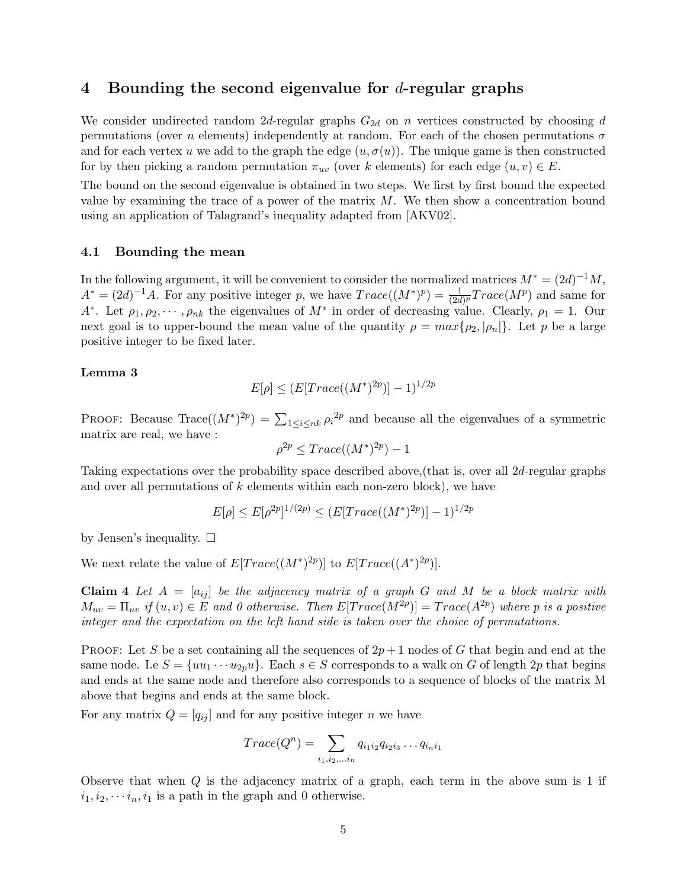### 4 Bounding the second eigenvalue for  $d$ -regular graphs

We consider undirected random 2d-regular graphs  $G_{2d}$  on n vertices constructed by choosing d permutations (over n elements) independently at random. For each of the chosen permutations  $\sigma$ and for each vertex u we add to the graph the edge  $(u, \sigma(u))$ . The unique game is then constructed for by then picking a random permutation  $\pi_{uv}$  (over k elements) for each edge  $(u, v) \in E$ .

The bound on the second eigenvalue is obtained in two steps. We first by first bound the expected value by examining the trace of a power of the matrix  $M$ . We then show a concentration bound using an application of Talagrand's inequality adapted from [AKV02].

### 4.1 Bounding the mean

In the following argument, it will be convenient to consider the normalized matrices  $M^* = (2d)^{-1}M$ ,  $A^* = (2d)^{-1}A$ . For any positive integer p, we have  $Trace((M^*)^p) = \frac{1}{(2d)^p}Trace(M^p)$  and same for A<sup>\*</sup>. Let  $\rho_1, \rho_2, \cdots, \rho_{nk}$  the eigenvalues of  $M^*$  in order of decreasing value. Clearly,  $\rho_1 = 1$ . Our next goal is to upper-bound the mean value of the quantity  $\rho = max{\rho_2, |\rho_n|}$ . Let p be a large positive integer to be fixed later.

#### Lemma 3

$$
E[\rho] \le (E[Trace((M^*)^{2p})] - 1)^{1/2p}
$$

PROOF: Because  $Trace((M^*)^{2p}) = \sum_{1 \leq i \leq nk} \rho_i^{2p}$  and because all the eigenvalues of a symmetric matrix are real, we have :

$$
\rho^{2p} \leq Trace((M^*)^{2p}) - 1
$$

Taking expectations over the probability space described above,(that is, over all 2d-regular graphs and over all permutations of  $k$  elements within each non-zero block), we have

$$
E[\rho] \le E[\rho^{2p}]^{1/(2p)} \le (E[Trace((M^*)^{2p})]-1)^{1/2p}
$$

by Jensen's inequality.  $\square$ 

We next relate the value of  $E[Trace((M^*)^{2p})]$  to  $E[Trace((A^*)^{2p})]$ .

Claim 4 Let  $A = [a_{ij}]$  be the adjacency matrix of a graph G and M be a block matrix with  $M_{uv} = \Pi_{uv}$  if  $(u, v) \in E$  and 0 otherwise. Then  $E[Trace(M^{2p})] = Trace(A^{2p})$  where p is a positive integer and the expectation on the left hand side is taken over the choice of permutations.

**PROOF:** Let S be a set containing all the sequences of  $2p + 1$  nodes of G that begin and end at the same node. I.e  $S = \{uu_1 \cdots u_{2p}u\}$ . Each  $s \in S$  corresponds to a walk on G of length 2p that begins and ends at the same node and therefore also corresponds to a sequence of blocks of the matrix M above that begins and ends at the same block.

For any matrix  $Q = [q_{ij}]$  and for any positive integer n we have

$$
Trace(Q^n) = \sum_{i_1, i_2, \dots, i_n} q_{i_1 i_2} q_{i_2 i_3} \dots q_{i_n i_1}
$$

Observe that when  $Q$  is the adjacency matrix of a graph, each term in the above sum is 1 if  $i_1, i_2, \cdots i_n, i_1$  is a path in the graph and 0 otherwise.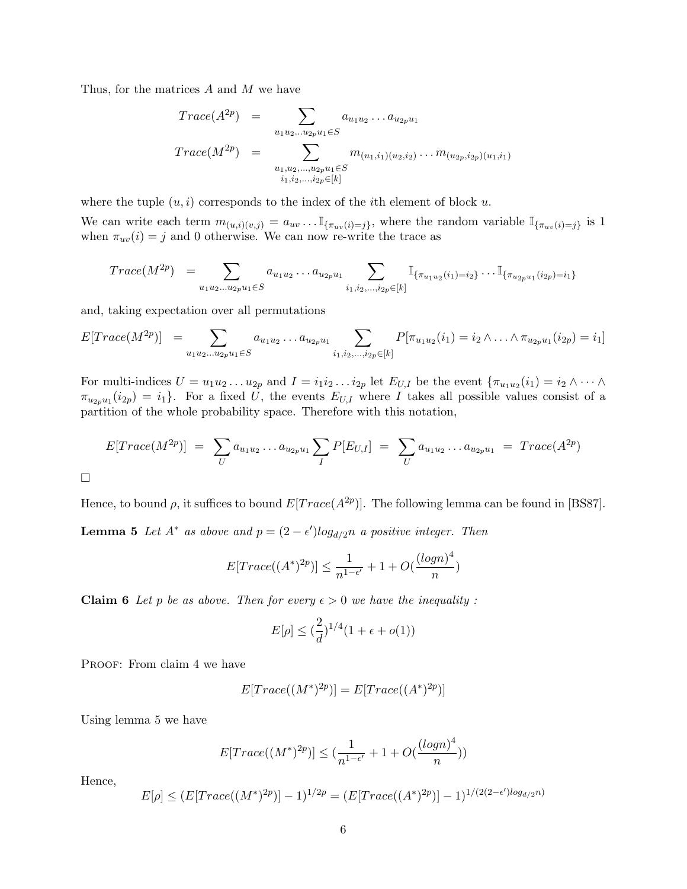Thus, for the matrices A and M we have

$$
Trace(A^{2p}) = \sum_{u_1u_2...u_{2p}u_1 \in S} a_{u_1u_2}...a_{u_{2p}u_1}
$$
  
\n
$$
Trace(M^{2p}) = \sum_{u_1,u_2,...,u_{2p}u_1 \in S} m_{(u_1,i_1)(u_2,i_2)}...m_{(u_{2p},i_{2p})(u_1,i_1)}
$$
  
\n
$$
i_1,i_2,...,i_{2p} \in [k]
$$

where the tuple  $(u, i)$  corresponds to the index of the *i*th element of block u.

We can write each term  $m_{(u,i)(v,j)} = a_{uv} \dots \mathbb{I}_{\{\pi_{uv}(i)=j\}}$ , where the random variable  $\mathbb{I}_{\{\pi_{uv}(i)=j\}}$  is 1 when  $\pi_{uv}(i) = j$  and 0 otherwise. We can now re-write the trace as

$$
Trace(M^{2p}) = \sum_{u_1u_2...u_{2p}u_1 \in S} a_{u_1u_2}...a_{u_{2p}u_1} \sum_{i_1,i_2,...,i_{2p} \in [k]} \mathbb{I}_{\{\pi_{u_1u_2}(i_1) = i_2\}} \dots \mathbb{I}_{\{\pi_{u_{2p}u_1}(i_{2p}) = i_1\}}
$$

and, taking expectation over all permutations

$$
E[Trace(M^{2p})] = \sum_{u_1u_2...u_{2p}u_1 \in S} a_{u_1u_2}...a_{u_{2p}u_1} \sum_{i_1,i_2,...,i_{2p} \in [k]} P[\pi_{u_1u_2}(i_1) = i_2 \wedge ... \wedge \pi_{u_{2p}u_1}(i_{2p}) = i_1]
$$

For multi-indices  $U = u_1 u_2 ... u_{2p}$  and  $I = i_1 i_2 ... i_{2p}$  let  $E_{U,I}$  be the event  $\{\pi_{u_1 u_2}(i_1) = i_2 \wedge ... \wedge$  $\pi_{u_{2p}u_1}(i_{2p})=i_1$ . For a fixed U, the events  $E_{U,I}$  where I takes all possible values consist of a partition of the whole probability space. Therefore with this notation,

$$
E[Trace(M^{2p})] = \sum_{U} a_{u_1u_2} \dots a_{u_{2p}u_1} \sum_{I} P[E_{U,I}] = \sum_{U} a_{u_1u_2} \dots a_{u_{2p}u_1} = Trace(A^{2p})
$$

 $\Box$ 

Hence, to bound  $\rho$ , it suffices to bound  $E[Trace(A^{2p})]$ . The following lemma can be found in [BS87].

**Lemma 5** Let  $A^*$  as above and  $p = (2 - \epsilon')log_{d/2}n$  a positive integer. Then

$$
E[Trace((A^*)^{2p})] \le \frac{1}{n^{1-\epsilon'}} + 1 + O(\frac{(\log n)^4}{n})
$$

**Claim 6** Let p be as above. Then for every  $\epsilon > 0$  we have the inequality:

$$
E[\rho] \leq (\frac{2}{d})^{1/4} (1 + \epsilon + o(1))
$$

PROOF: From claim 4 we have

$$
E[Trace((M^*)^{2p})] = E[Trace((A^*)^{2p})]
$$

Using lemma 5 we have

$$
E[Trace((M^*)^{2p})] \le (\frac{1}{n^{1-\epsilon'}} + 1 + O(\frac{(\log n)^4}{n}))
$$

Hence,

$$
E[\rho] \le (E[Trace((M^*)^{2p})] - 1)^{1/2p} = (E[Trace((A^*)^{2p})] - 1)^{1/(2(2-\epsilon')log_{d/2}n)}
$$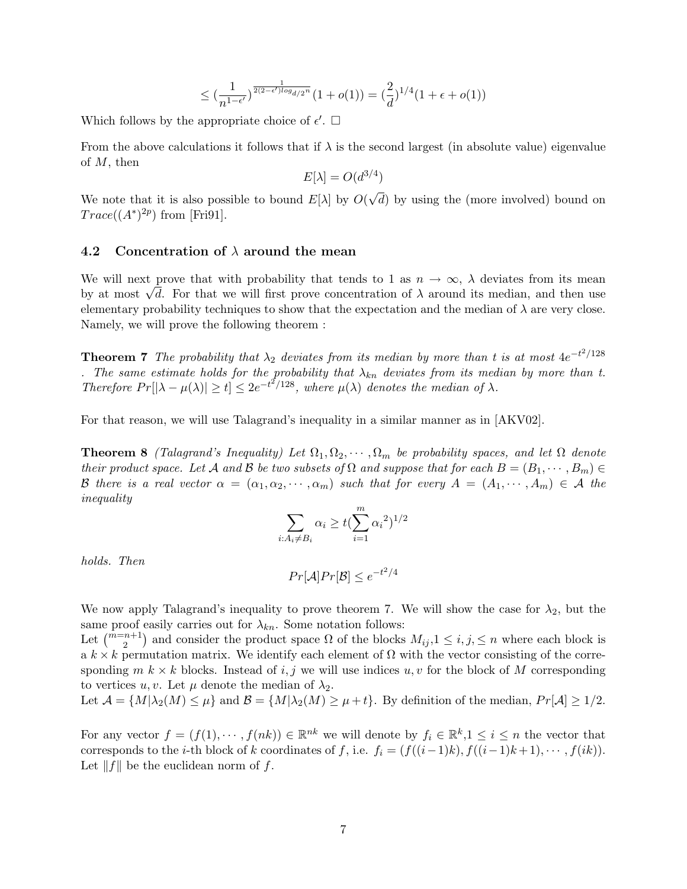$$
\leq \left(\frac{1}{n^{1-\epsilon'}}\right)^{\frac{1}{2(2-\epsilon')\log_{d/2} n}} (1+o(1)) = \left(\frac{2}{d}\right)^{1/4} (1+\epsilon+o(1))
$$

Which follows by the appropriate choice of  $\epsilon'$ .  $\Box$ 

From the above calculations it follows that if  $\lambda$  is the second largest (in absolute value) eigenvalue of M, then

$$
E[\lambda] = O(d^{3/4})
$$

We note that it is also possible to bound  $E[\lambda]$  by  $O(\lambda)$ √ d) by using the (more involved) bound on  $Trace((A^*)^{2p})$  from [Fri91].

### 4.2 Concentration of  $\lambda$  around the mean

We will next prove that with probability that tends to 1 as  $n \to \infty$ ,  $\lambda$  deviates from its mean We will next prove that with probability that tends to 1 as  $n \to \infty$ ,  $\lambda$  deviates from its mean<br>by at most  $\sqrt{d}$ . For that we will first prove concentration of  $\lambda$  around its median, and then use elementary probability techniques to show that the expectation and the median of  $\lambda$  are very close. Namely, we will prove the following theorem :

**Theorem 7** The probability that  $\lambda_2$  deviates from its median by more than t is at most  $4e^{-t^2/128}$ . The same estimate holds for the probability that  $\lambda_{kn}$  deviates from its median by more than t. Therefore  $Pr[|\lambda - \mu(\lambda)| \ge t] \le 2e^{-t^2/128}$ , where  $\mu(\lambda)$  denotes the median of  $\lambda$ .

For that reason, we will use Talagrand's inequality in a similar manner as in [AKV02].

**Theorem 8** (Talagrand's Inequality) Let  $\Omega_1, \Omega_2, \cdots, \Omega_m$  be probability spaces, and let  $\Omega$  denote their product space. Let A and B be two subsets of  $\Omega$  and suppose that for each  $B = (B_1, \dots, B_m) \in$ B there is a real vector  $\alpha = (\alpha_1, \alpha_2, \cdots, \alpha_m)$  such that for every  $A = (A_1, \cdots, A_m) \in \mathcal{A}$  the inequality

$$
\sum_{i:A_i\neq B_i} \alpha_i \geq t(\sum_{i=1}^m {\alpha_i}^2)^{1/2}
$$

holds. Then

$$
Pr[\mathcal{A}] Pr[\mathcal{B}] \le e^{-t^2/4}
$$

We now apply Talagrand's inequality to prove theorem 7. We will show the case for  $\lambda_2$ , but the same proof easily carries out for  $\lambda_{kn}$ . Some notation follows:

Let  $\binom{m=n+1}{2}$  and consider the product space  $\Omega$  of the blocks  $M_{ij}$ ,  $1 \leq i, j, \leq n$  where each block is a  $k \times k$  permutation matrix. We identify each element of  $\Omega$  with the vector consisting of the corresponding  $m \, k \times k$  blocks. Instead of i, j we will use indices  $u, v$  for the block of M corresponding to vertices u, v. Let  $\mu$  denote the median of  $\lambda_2$ .

Let 
$$
\mathcal{A} = \{M | \lambda_2(M) \leq \mu\}
$$
 and  $\mathcal{B} = \{M | \lambda_2(M) \geq \mu + t\}$ . By definition of the median,  $Pr[\mathcal{A}] \geq 1/2$ .

For any vector  $f = (f(1), \dots, f(nk)) \in \mathbb{R}^{nk}$  we will denote by  $f_i \in \mathbb{R}^k, 1 \leq i \leq n$  the vector that corresponds to the *i*-th block of k coordinates of f, i.e.  $f_i = (f((i-1)k), f((i-1)k+1), \cdots, f(ik)).$ Let  $||f||$  be the euclidean norm of f.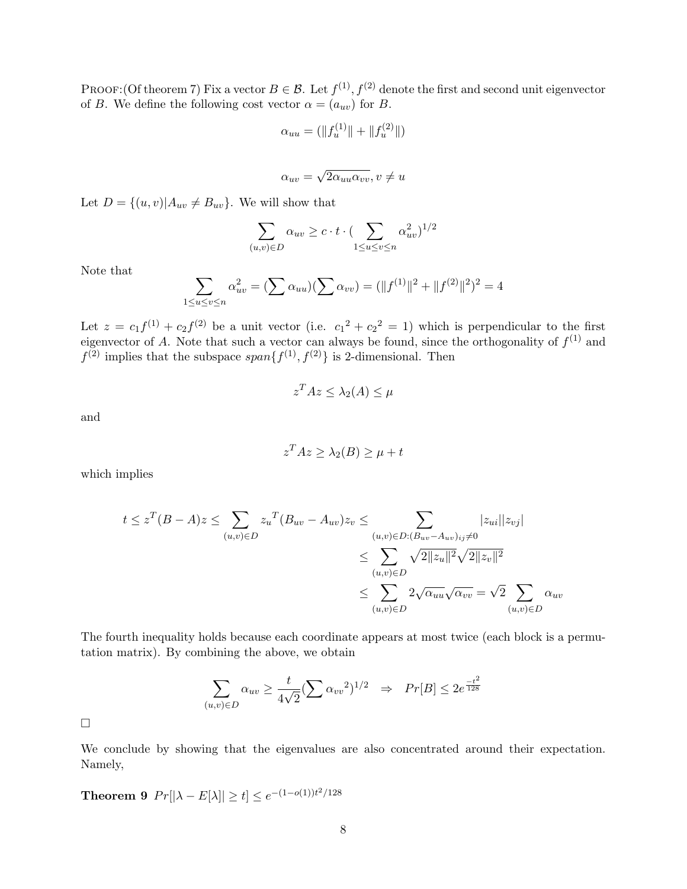PROOF:(Of theorem 7) Fix a vector  $B \in \mathcal{B}$ . Let  $f^{(1)}$ ,  $f^{(2)}$  denote the first and second unit eigenvector of B. We define the following cost vector  $\alpha = (a_{uv})$  for B.

$$
\alpha_{uu} = (\|f_u^{(1)}\| + \|f_u^{(2)}\|)
$$

$$
\alpha_{uv} = \sqrt{2\alpha_{uu}\alpha_{vv}}, v \neq u
$$

Let  $D = \{(u, v) | A_{uv} \neq B_{uv}\}.$  We will show that

$$
\sum_{(u,v)\in D} \alpha_{uv} \ge c \cdot t \cdot (\sum_{1 \le u \le v \le n} \alpha_{uv}^2)^{1/2}
$$

Note that

$$
\sum_{1 \le u \le v \le n} \alpha_{uv}^2 = (\sum \alpha_{uu})(\sum \alpha_{vv}) = (\|f^{(1)}\|^2 + \|f^{(2)}\|^2)^2 = 4
$$

Let  $z = c_1 f^{(1)} + c_2 f^{(2)}$  be a unit vector (i.e.  $c_1^2 + c_2^2 = 1$ ) which is perpendicular to the first eigenvector of A. Note that such a vector can always be found, since the orthogonality of  $f^{(1)}$  and  $f^{(2)}$  implies that the subspace  $span{f^{(1)}, f^{(2)}}$  is 2-dimensional. Then

$$
z^T A z \leq \lambda_2(A) \leq \mu
$$

and

$$
z^T A z \ge \lambda_2(B) \ge \mu + t
$$

which implies

$$
t \leq z^{T}(B-A)z \leq \sum_{(u,v)\in D} z_{u}^{T}(B_{uv}-A_{uv})z_{v} \leq \sum_{(u,v)\in D:(B_{uv}-A_{uv})_{ij}\neq 0} |z_{ui}||z_{vj}|
$$
  

$$
\leq \sum_{(u,v)\in D} \sqrt{2||z_{u}||^{2}}\sqrt{2||z_{v}||^{2}}
$$
  

$$
\leq \sum_{(u,v)\in D} 2\sqrt{\alpha_{uu}}\sqrt{\alpha_{vv}} = \sqrt{2}\sum_{(u,v)\in D} \alpha_{uv}
$$

The fourth inequality holds because each coordinate appears at most twice (each block is a permutation matrix). By combining the above, we obtain

$$
\sum_{(u,v)\in D} \alpha_{uv} \ge \frac{t}{4\sqrt{2}} \left(\sum \alpha_{vv}^2\right)^{1/2} \Rightarrow Pr[B] \le 2e^{\frac{-t^2}{128}}
$$

 $\Box$ 

We conclude by showing that the eigenvalues are also concentrated around their expectation. Namely,

**Theorem 9**  $Pr[|\lambda - E[\lambda]| \ge t] \le e^{-(1 - o(1))t^2/128}$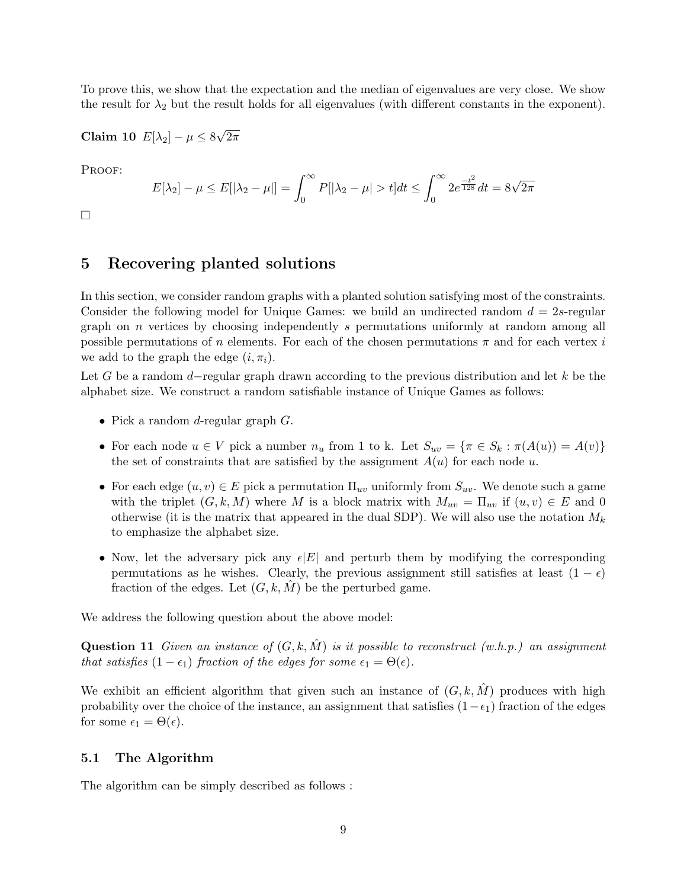To prove this, we show that the expectation and the median of eigenvalues are very close. We show the result for  $\lambda_2$  but the result holds for all eigenvalues (with different constants in the exponent).

Claim 10  $E[\lambda_2] - \mu \leq 8$ √  $2\pi$ 

PROOF:

$$
E[\lambda_2] - \mu \le E[|\lambda_2 - \mu|] = \int_0^\infty P[|\lambda_2 - \mu| > t] dt \le \int_0^\infty 2e^{\frac{-t^2}{128}} dt = 8\sqrt{2\pi}
$$

 $\Box$ 

### 5 Recovering planted solutions

In this section, we consider random graphs with a planted solution satisfying most of the constraints. Consider the following model for Unique Games: we build an undirected random  $d = 2s$ -regular graph on  $n$  vertices by choosing independently  $s$  permutations uniformly at random among all possible permutations of n elements. For each of the chosen permutations  $\pi$  and for each vertex i we add to the graph the edge  $(i, \pi_i)$ .

Let G be a random  $d$ -regular graph drawn according to the previous distribution and let k be the alphabet size. We construct a random satisfiable instance of Unique Games as follows:

- Pick a random *d*-regular graph *G*.
- For each node  $u \in V$  pick a number  $n_u$  from 1 to k. Let  $S_{uv} = {\pi \in S_k : \pi(A(u)) = A(v)}$ the set of constraints that are satisfied by the assignment  $A(u)$  for each node u.
- For each edge  $(u, v) \in E$  pick a permutation  $\Pi_{uv}$  uniformly from  $S_{uv}$ . We denote such a game with the triplet  $(G, k, M)$  where M is a block matrix with  $M_{uv} = \Pi_{uv}$  if  $(u, v) \in E$  and 0 otherwise (it is the matrix that appeared in the dual SDP). We will also use the notation  $M_k$ to emphasize the alphabet size.
- Now, let the adversary pick any  $\epsilon |E|$  and perturb them by modifying the corresponding permutations as he wishes. Clearly, the previous assignment still satisfies at least  $(1 - \epsilon)$ fraction of the edges. Let  $(G, k, M)$  be the perturbed game.

We address the following question about the above model:

**Question 11** Given an instance of  $(G, k, M)$  is it possible to reconstruct (w.h.p.) an assignment that satisfies  $(1 - \epsilon_1)$  fraction of the edges for some  $\epsilon_1 = \Theta(\epsilon)$ .

We exhibit an efficient algorithm that given such an instance of  $(G, k, \hat{M})$  produces with high probability over the choice of the instance, an assignment that satisfies  $(1-\epsilon_1)$  fraction of the edges for some  $\epsilon_1 = \Theta(\epsilon)$ .

### 5.1 The Algorithm

The algorithm can be simply described as follows :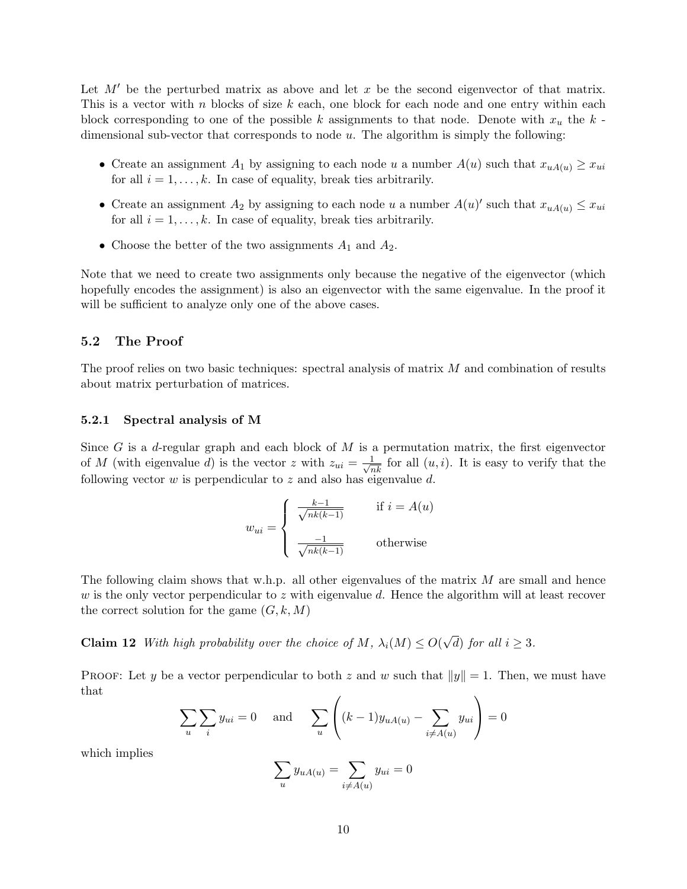Let  $M'$  be the perturbed matrix as above and let  $x$  be the second eigenvector of that matrix. This is a vector with n blocks of size  $k$  each, one block for each node and one entry within each block corresponding to one of the possible k assignments to that node. Denote with  $x_u$  the k dimensional sub-vector that corresponds to node  $u$ . The algorithm is simply the following:

- Create an assignment  $A_1$  by assigning to each node u a number  $A(u)$  such that  $x_{uA(u)} \geq x_{ui}$ for all  $i = 1, \ldots, k$ . In case of equality, break ties arbitrarily.
- Create an assignment  $A_2$  by assigning to each node u a number  $A(u)'$  such that  $x_{uA(u)} \leq x_{ui}$ for all  $i = 1, \ldots, k$ . In case of equality, break ties arbitrarily.
- Choose the better of the two assignments  $A_1$  and  $A_2$ .

Note that we need to create two assignments only because the negative of the eigenvector (which hopefully encodes the assignment) is also an eigenvector with the same eigenvalue. In the proof it will be sufficient to analyze only one of the above cases.

### 5.2 The Proof

The proof relies on two basic techniques: spectral analysis of matrix M and combination of results about matrix perturbation of matrices.

#### 5.2.1 Spectral analysis of M

Since G is a d-regular graph and each block of M is a permutation matrix, the first eigenvector of M (with eigenvalue d) is the vector z with  $z_{ui} = \frac{1}{\sqrt{nk}}$  for all  $(u, i)$ . It is easy to verify that the following vector  $w$  is perpendicular to  $z$  and also has eigenvalue  $d$ .

$$
w_{ui} = \begin{cases} \frac{k-1}{\sqrt{nk(k-1)}} & \text{if } i = A(u) \\ \frac{-1}{\sqrt{nk(k-1)}} & \text{otherwise} \end{cases}
$$

The following claim shows that w.h.p. all other eigenvalues of the matrix  $M$  are small and hence w is the only vector perpendicular to z with eigenvalue d. Hence the algorithm will at least recover the correct solution for the game  $(G, k, M)$ 

**Claim 12** With high probability over the choice of M,  $\lambda_i(M) \leq O(\lambda)$ √ d) for all  $i \geq 3$ .

PROOF: Let y be a vector perpendicular to both z and w such that  $||y|| = 1$ . Then, we must have that

$$
\sum_{u} \sum_{i} y_{ui} = 0 \quad \text{and} \quad \sum_{u} \left( (k-1)y_{uA(u)} - \sum_{i \neq A(u)} y_{ui} \right) = 0
$$

which implies

$$
\sum_{u} y_{uA(u)} = \sum_{i \neq A(u)} y_{ui} = 0
$$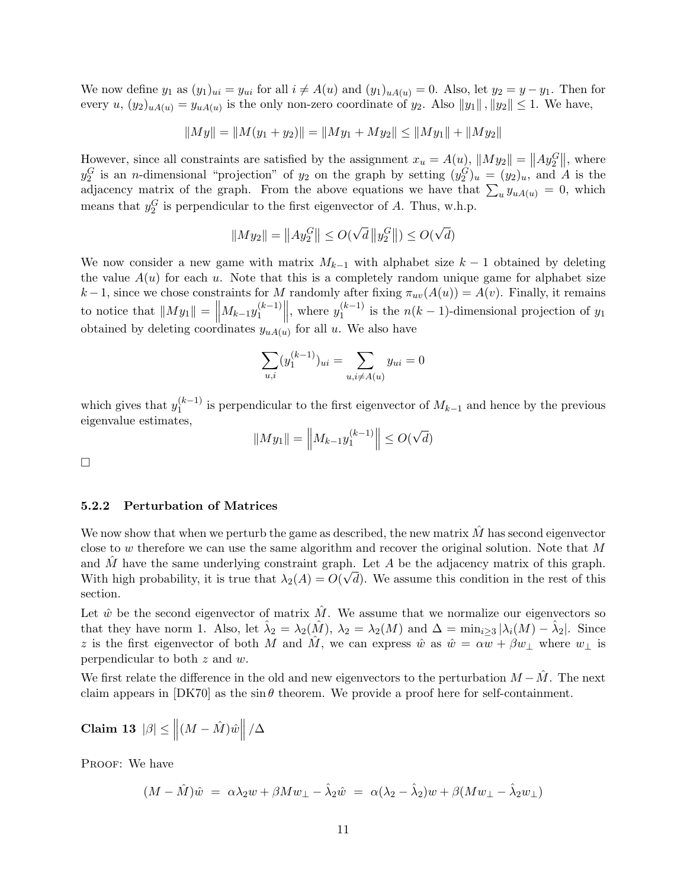We now define  $y_1$  as  $(y_1)_{ui} = y_{ui}$  for all  $i \neq A(u)$  and  $(y_1)_{uA(u)} = 0$ . Also, let  $y_2 = y - y_1$ . Then for every  $u, (y_2)_{uA(u)} = y_{uA(u)}$  is the only non-zero coordinate of  $y_2$ . Also  $||y_1||$ ,  $||y_2|| \leq 1$ . We have,

$$
||My|| = ||M(y_1 + y_2)|| = ||My_1 + My_2|| \le ||My_1|| + ||My_2||
$$

However, since all constraints are satisfied by the assignment  $x_u = A(u)$ ,  $||My_2|| = ||Ay_2||$ , where  $y_2^G$  is an *n*-dimensional "projection" of  $y_2$  on the graph by setting  $(y_2^G)_u = (y_2)_u$ , and A is the adjacency matrix of the graph. From the above equations we have that  $\sum_{u} y_{uA(u)} = 0$ , which means that  $y_2^G$  is perpendicular to the first eigenvector of A. Thus, w.h.p.

$$
||My_2|| = ||Ay_2^G|| \le O(\sqrt{d} ||y_2^G||) \le O(\sqrt{d})
$$

We now consider a new game with matrix  $M_{k-1}$  with alphabet size  $k-1$  obtained by deleting the value  $A(u)$  for each u. Note that this is a completely random unique game for alphabet size k −1, since we chose constraints for M randomly after fixing  $\pi_{uv}(A(u)) = A(v)$ . Finally, it remains to notice that  $||My_1|| = ||M_{k-1}y_1^{(k-1)}||$  $\|y_1^{(k-1)}\|$ , where  $y_1^{(k-1)}$  $\int_{1}^{(k-1)}$  is the  $n(k-1)$ -dimensional projection of  $y_1$ obtained by deleting coordinates  $y_{uA(u)}$  for all u. We also have

$$
\sum_{u,i} (y_1^{(k-1)})_{ui} = \sum_{u,i \neq A(u)} y_{ui} = 0
$$

which gives that  $y_1^{(k-1)}$  $\binom{k-1}{1}$  is perpendicular to the first eigenvector of  $M_{k-1}$  and hence by the previous eigenvalue estimates,

$$
||My_1|| = \left||M_{k-1}y_1^{(k-1)}\right|| \le O(\sqrt{d})
$$

 $\Box$ 

### 5.2.2 Perturbation of Matrices

We now show that when we perturb the game as described, the new matrix  $\hat{M}$  has second eigenvector close to w therefore we can use the same algorithm and recover the original solution. Note that  $M$ and  $\hat{M}$  have the same underlying constraint graph. Let A be the adjacency matrix of this graph. With high probability, it is true that  $\lambda_2(A) = O(\sqrt{d})$ . We assume this condition in the rest of this section.

Let  $\hat{w}$  be the second eigenvector of matrix  $\hat{M}$ . We assume that we normalize our eigenvectors so that they have norm 1. Also, let  $\hat{\lambda}_2 = \lambda_2(\hat{M})$ ,  $\lambda_2 = \lambda_2(M)$  and  $\Delta = \min_{i \geq 3} |\lambda_i(M) - \hat{\lambda}_2|$ . Since z is the first eigenvector of both M and  $\hat{M}$ , we can express  $\hat{w}$  as  $\hat{w} = \alpha w + \beta w_{\perp}$  where  $w_{\perp}$  is perpendicular to both z and w.

We first relate the difference in the old and new eigenvectors to the perturbation  $M - \tilde{M}$ . The next claim appears in  $[DK70]$  as the sin  $\theta$  theorem. We provide a proof here for self-containment.

$$
\textbf{Claim 13} \hspace{.2cm} |\beta| \le \left\| (M - \hat{M}) \hat{w} \right\| / \Delta
$$

PROOF: We have

$$
(M - \hat{M})\hat{w} = \alpha\lambda_2w + \beta M w_{\perp} - \hat{\lambda}_2\hat{w} = \alpha(\lambda_2 - \hat{\lambda}_2)w + \beta (M w_{\perp} - \hat{\lambda}_2 w_{\perp})
$$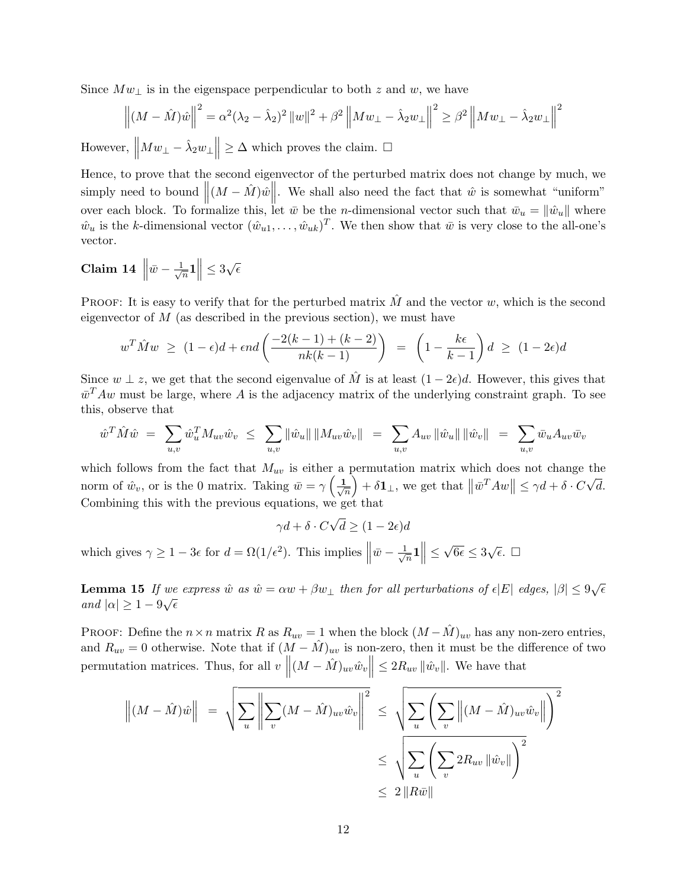Since  $Mw_{\perp}$  is in the eigenspace perpendicular to both z and w, we have

$$
\left\| (M - \hat{M})\hat{w} \right\|^2 = \alpha^2 (\lambda_2 - \hat{\lambda}_2)^2 \left\| w \right\|^2 + \beta^2 \left\| M w_{\perp} - \hat{\lambda}_2 w_{\perp} \right\|^2 \ge \beta^2 \left\| M w_{\perp} - \hat{\lambda}_2 w_{\perp} \right\|^2
$$
  
However, 
$$
\left\| M w_{\perp} - \hat{\lambda}_2 w_{\perp} \right\| \ge \Delta \text{ which proves the claim. } \square
$$

Hence, to prove that the second eigenvector of the perturbed matrix does not change by much, we simply need to bound  $\|(M - \hat{M})\hat{w}\|$ . We shall also need the fact that  $\hat{w}$  is somewhat "uniform" over each block. To formalize this, let  $\bar{w}$  be the *n*-dimensional vector such that  $\bar{w}_u = ||\hat{w}_u||$  where  $\hat{w}_u$  is the k-dimensional vector  $(\hat{w}_{u1}, \dots, \hat{w}_{uk})^T$ . We then show that  $\bar{w}$  is very close to the all-one's vector.

$$
Claim\ 14\ \left\|\bar{w} - \frac{1}{\sqrt{n}}\mathbf{1}\right\| \leq 3\sqrt{\epsilon}
$$

PROOF: It is easy to verify that for the perturbed matrix  $\hat{M}$  and the vector w, which is the second eigenvector of  $M$  (as described in the previous section), we must have

$$
w^T \hat{M} w \ge (1 - \epsilon)d + \epsilon nd \left( \frac{-2(k-1) + (k-2)}{nk(k-1)} \right) = \left( 1 - \frac{k\epsilon}{k-1} \right) d \ge (1 - 2\epsilon)d
$$

Since  $w \perp z$ , we get that the second eigenvalue of  $\hat{M}$  is at least  $(1 - 2\epsilon)d$ . However, this gives that  $\bar{w}^T A w$  must be large, where A is the adjacency matrix of the underlying constraint graph. To see this, observe that

$$
\hat{w}^T \hat{M} \hat{w} = \sum_{u,v} \hat{w}_u^T M_{uv} \hat{w}_v \le \sum_{u,v} \|\hat{w}_u\| \, \|M_{uv} \hat{w}_v\| = \sum_{u,v} A_{uv} \, \|\hat{w}_u\| \, \|\hat{w}_v\| = \sum_{u,v} \bar{w}_u A_{uv} \bar{w}_v
$$

which follows from the fact that  $M_{uv}$  is either a permutation matrix which does not change the norm of  $\hat{w}_v$ , or is the 0 matrix. Taking  $\bar{w} = \gamma \left( \frac{1}{\sqrt{2}} \right)$  $\overline{n}$  $\Big)+\delta\mathbf{1}_{\perp}$ , we get that  $\left\Vert \bar{w}^{T}Aw\right\Vert \leq\gamma d+\delta\cdot C$ √ d. Combining this with the previous equations, we get that √

 $\gamma d + \delta \cdot C$  $d \geq (1-2\epsilon)d$ which gives  $\gamma \ge 1 - 3\epsilon$  for  $d = \Omega(1/\epsilon^2)$ . This implies  $\parallel$  $\bar{w}-\frac{1}{4}$  $\frac{1}{n}$ 1 $\Big\| \leq$ √  $\overline{6\epsilon} \leq 3\sqrt{\epsilon}$ .  $\Box$ 

**Lemma 15** If we express  $\hat{w}$  as  $\hat{w} = \alpha w + \beta w_{\perp}$  then for all perturbations of  $\epsilon |E|$  edges,  $|\beta| \leq 9\sqrt{\epsilon}$ and  $|\alpha| \geq 1-9\sqrt{\epsilon}$ 

PROOF: Define the  $n \times n$  matrix R as  $R_{uv} = 1$  when the block  $(M - \hat{M})_{uv}$  has any non-zero entries, and  $R_{uv} = 0$  otherwise. Note that if  $(M - \hat{M})_{uv}$  is non-zero, then it must be the difference of two permutation matrices. Thus, for all  $v \left\| (M - \hat{M})_{uv} \hat{w}_v \right\| \leq 2R_{uv} \left\| \hat{w}_v \right\|$ . We have that

$$
\left\| (M - \hat{M})\hat{w} \right\| = \sqrt{\sum_{u} \left\| \sum_{v} (M - \hat{M})_{uv} \hat{w}_v \right\|^2} \le \sqrt{\sum_{u} \left( \sum_{v} \left\| (M - \hat{M})_{uv} \hat{w}_v \right\| \right)^2}
$$
  

$$
\le \sqrt{\sum_{u} \left( \sum_{v} 2R_{uv} \left\| \hat{w}_v \right\| \right)^2}
$$
  

$$
\le 2 \left\| R\bar{w} \right\|
$$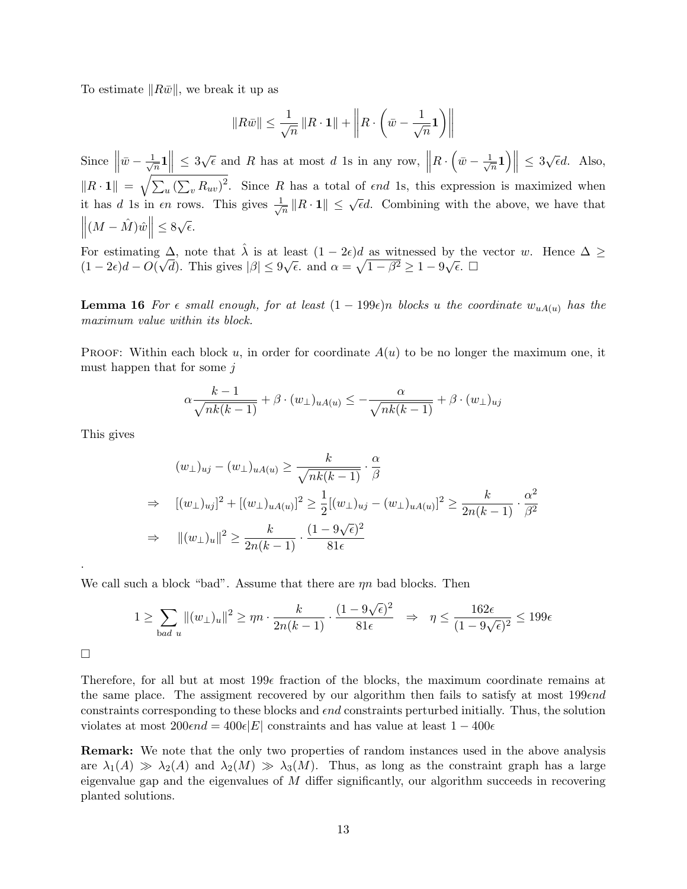To estimate  $||R\bar{w}||$ , we break it up as

$$
||R\bar{w}|| \le \frac{1}{\sqrt{n}} ||R \cdot \mathbf{1}|| + \left||R \cdot \left(\bar{w} - \frac{1}{\sqrt{n}} \mathbf{1}\right)\right||
$$

Since  $\Vert$  $\bar{w}-\frac{1}{4}$  $\frac{1}{\sqrt{n}} 1 \leq 3\sqrt{\epsilon}$  and R has at most d 1s in any row,  $\Big\|$  $R \cdot \left(\bar{w} - \frac{1}{4}\right)$  $\left|\frac{1}{n}\right|\right| \leq 3\sqrt{\epsilon}d.$  Also,  $\|R \cdot \mathbf{1}\| = \sqrt{\sum_u (\sum_v R_{uv})^2}$ . Since R has a total of end 1s, this expression is maximized when it has d 1s in  $\epsilon n$  rows. This gives  $\frac{1}{\sqrt{2}}$  $\frac{1}{\sqrt{n}} \|R \cdot \mathbf{1}\| \leq \sqrt{\epsilon}d$ . Combining with the above, we have that  $\left\| (M - \hat{M}) \hat{w} \right\| \leq 8\sqrt{\epsilon}.$ 

For estimating  $\Delta$ , note that  $\hat{\lambda}$  is at least  $(1 - 2\epsilon)d$  as witnessed by the vector w. Hence  $\Delta \ge$  $(1-2\epsilon)d - O(\sqrt{d})$ . This gives  $|\beta| \leq 9\sqrt{\epsilon}$ . and  $\alpha = \sqrt{1-\beta^2} \geq 1-9\sqrt{\epsilon}$ .  $\Box$ 

**Lemma 16** For  $\epsilon$  small enough, for at least  $(1 - 199\epsilon)n$  blocks u the coordinate  $w_{uA(u)}$  has the maximum value within its block.

**PROOF:** Within each block u, in order for coordinate  $A(u)$  to be no longer the maximum one, it must happen that for some  $j$ 

$$
\alpha \frac{k-1}{\sqrt{nk(k-1)}} + \beta \cdot (w_{\perp})_{uA(u)} \le -\frac{\alpha}{\sqrt{nk(k-1)}} + \beta \cdot (w_{\perp})_{uj}
$$

This gives

$$
(w_{\perp})_{uj} - (w_{\perp})_{uA(u)} \ge \frac{k}{\sqrt{nk(k-1)}} \cdot \frac{\alpha}{\beta}
$$
  
\n
$$
\Rightarrow \quad [(w_{\perp})_{uj}]^2 + [(w_{\perp})_{uA(u)}]^2 \ge \frac{1}{2} [(w_{\perp})_{uj} - (w_{\perp})_{uA(u)}]^2 \ge \frac{k}{2n(k-1)} \cdot \frac{\alpha^2}{\beta^2}
$$
  
\n
$$
\Rightarrow \quad ||(w_{\perp})_u||^2 \ge \frac{k}{2n(k-1)} \cdot \frac{(1-9\sqrt{\epsilon})^2}{81\epsilon}
$$

We call such a block "bad". Assume that there are  $\eta n$  bad blocks. Then

$$
1 \ge \sum_{\text{bad } u} \left\| (w_{\perp})_u \right\|^2 \ge \eta n \cdot \frac{k}{2n(k-1)} \cdot \frac{(1-9\sqrt{\epsilon})^2}{81\epsilon} \quad \Rightarrow \quad \eta \le \frac{162\epsilon}{(1-9\sqrt{\epsilon})^2} \le 199\epsilon
$$

 $\Box$ 

.

Therefore, for all but at most  $199\epsilon$  fraction of the blocks, the maximum coordinate remains at the same place. The assigment recovered by our algorithm then fails to satisfy at most  $199 \epsilon nd$ constraints corresponding to these blocks and *end* constraints perturbed initially. Thus, the solution violates at most  $200 \epsilon nd = 400 \epsilon |E|$  constraints and has value at least  $1 - 400 \epsilon$ 

Remark: We note that the only two properties of random instances used in the above analysis are  $\lambda_1(A) \gg \lambda_2(A)$  and  $\lambda_2(M) \gg \lambda_3(M)$ . Thus, as long as the constraint graph has a large eigenvalue gap and the eigenvalues of  $M$  differ significantly, our algorithm succeeds in recovering planted solutions.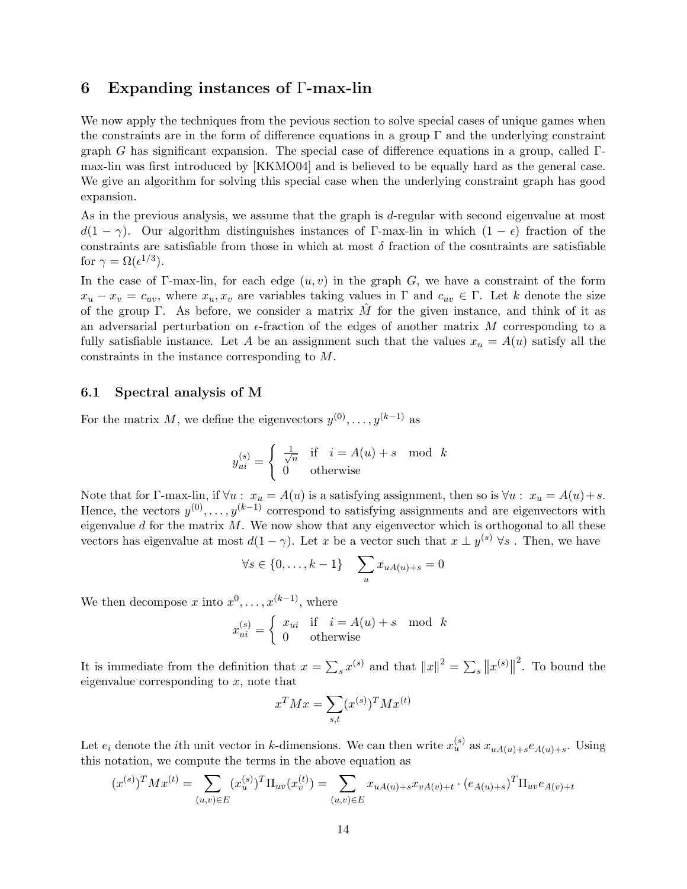# 6 Expanding instances of Γ-max-lin

We now apply the techniques from the pevious section to solve special cases of unique games when the constraints are in the form of difference equations in a group  $\Gamma$  and the underlying constraint graph G has significant expansion. The special case of difference equations in a group, called  $\Gamma$ max-lin was first introduced by [KKMO04] and is believed to be equally hard as the general case. We give an algorithm for solving this special case when the underlying constraint graph has good expansion.

As in the previous analysis, we assume that the graph is d-regular with second eigenvalue at most  $d(1 - \gamma)$ . Our algorithm distinguishes instances of Γ-max-lin in which  $(1 - \epsilon)$  fraction of the constraints are satisfiable from those in which at most  $\delta$  fraction of the cosntraints are satisfiable for  $\gamma = \Omega(\epsilon^{1/3})$ .

In the case of Γ-max-lin, for each edge  $(u, v)$  in the graph G, we have a constraint of the form  $x_u - x_v = c_{uv}$ , where  $x_u, x_v$  are variables taking values in  $\Gamma$  and  $c_{uv} \in \Gamma$ . Let k denote the size of the group Γ. As before, we consider a matrix  $\tilde{M}$  for the given instance, and think of it as an adversarial perturbation on  $\epsilon$ -fraction of the edges of another matrix M corresponding to a fully satisfiable instance. Let A be an assignment such that the values  $x_u = A(u)$  satisfy all the constraints in the instance corresponding to M.

### 6.1 Spectral analysis of M

For the matrix M, we define the eigenvectors  $y^{(0)}, \ldots, y^{(k-1)}$  as

$$
y_{ui}^{(s)} = \begin{cases} \frac{1}{\sqrt{n}} & \text{if } i = A(u) + s \mod k \\ 0 & \text{otherwise} \end{cases}
$$

Note that for Γ-max-lin, if  $\forall u : x_u = A(u)$  is a satisfying assignment, then so is  $\forall u : x_u = A(u) + s$ . Hence, the vectors  $y^{(0)}, \ldots, y^{(k-1)}$  correspond to satisfying assignments and are eigenvectors with eigenvalue d for the matrix  $M$ . We now show that any eigenvector which is orthogonal to all these vectors has eigenvalue at most  $d(1-\gamma)$ . Let x be a vector such that  $x \perp y^{(s)}$   $\forall s$ . Then, we have

$$
\forall s \in \{0, \dots, k-1\} \quad \sum_{u} x_{uA(u)+s} = 0
$$

We then decompose x into  $x^0, \ldots, x^{(k-1)}$ , where

$$
x_{ui}^{(s)} = \begin{cases} x_{ui} & \text{if } i = A(u) + s \mod k \\ 0 & \text{otherwise} \end{cases}
$$

It is immediate from the definition that  $x = \sum_s x^{(s)}$  and that  $||x||^2 = \sum_s ||x^{(s)}||$  $2$ . To bound the eigenvalue corresponding to  $x$ , note that

$$
x^T M x = \sum_{s,t} (x^{(s)})^T M x^{(t)}
$$

Let  $e_i$  denote the *i*th unit vector in k-dimensions. We can then write  $x_u^{(s)}$  as  $x_{uA(u)+s}e_{A(u)+s}$ . Using this notation, we compute the terms in the above equation as

$$
(x^{(s)})^T M x^{(t)} = \sum_{(u,v)\in E} (x_u^{(s)})^T \Pi_{uv}(x_v^{(t)}) = \sum_{(u,v)\in E} x_{uA(u)+s} x_{vA(v)+t} \cdot (e_{A(u)+s})^T \Pi_{uv} e_{A(v)+t}
$$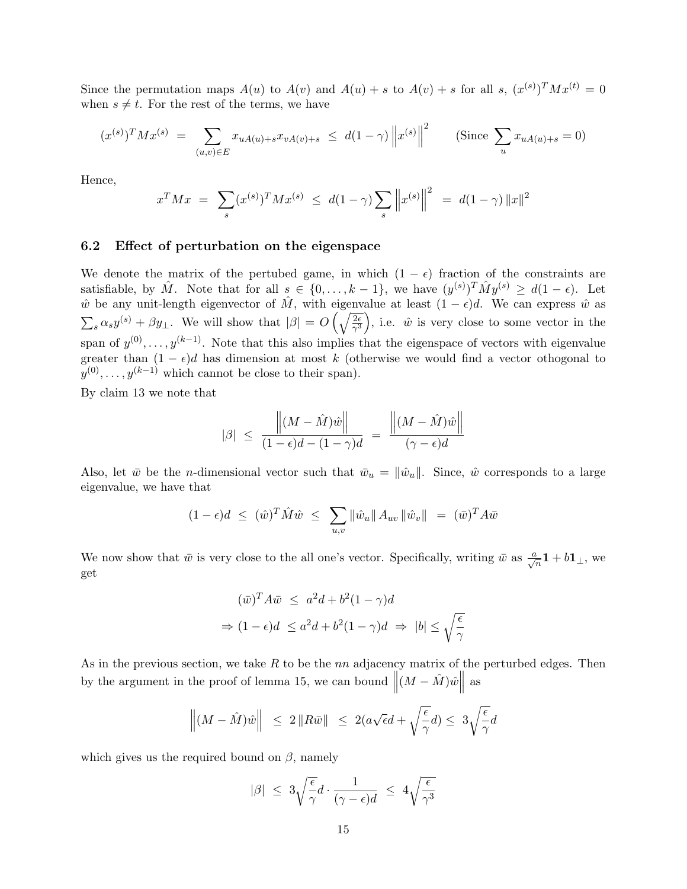Since the permutation maps  $A(u)$  to  $A(v)$  and  $A(u) + s$  to  $A(v) + s$  for all s,  $(x^{(s)})^T M x^{(t)} = 0$ when  $s \neq t$ . For the rest of the terms, we have

$$
(x^{(s)})^T M x^{(s)} = \sum_{(u,v)\in E} x_{uA(u)+s} x_{vA(v)+s} \le d(1-\gamma) \|x^{(s)}\|^2 \qquad \text{(Since } \sum_u x_{uA(u)+s} = 0\text{)}
$$

Hence,

$$
x^T M x = \sum_{s} (x^{(s)})^T M x^{(s)} \le d(1 - \gamma) \sum_{s} \left\| x^{(s)} \right\|^2 = d(1 - \gamma) \|x\|^2
$$

### 6.2 Effect of perturbation on the eigenspace

We denote the matrix of the pertubed game, in which  $(1 - \epsilon)$  fraction of the constraints are satisfiable, by  $\hat{M}$ . Note that for all  $s \in \{0, \ldots, k-1\}$ , we have  $(y^{(s)})^T \hat{M} y^{(s)} \geq d(1-\epsilon)$ . Let  $\hat{w}$  be any unit-length eigenvector of  $\hat{M}$ , with eigenvalue at least  $(1 - \epsilon)d$ . We can express  $\hat{w}$  as  $\sum_s \alpha_s y^{(s)} + \beta y_\perp$ . We will show that  $|\beta| = O\left(\sqrt{\frac{2\epsilon}{\gamma^3}}\right)$ , i.e.  $\hat{w}$  is very close to some vector in the span of  $y^{(0)}, \ldots, y^{(k-1)}$ . Note that this also implies that the eigenspace of vectors with eigenvalue greater than  $(1 - \epsilon)d$  has dimension at most k (otherwise we would find a vector othogonal to  $y^{(0)}, \ldots, y^{(k-1)}$  which cannot be close to their span).

By claim 13 we note that

$$
|\beta| \le \frac{\left\| (M - \hat{M})\hat{w} \right\|}{(1 - \epsilon)d - (1 - \gamma)d} = \frac{\left\| (M - \hat{M})\hat{w} \right\|}{(\gamma - \epsilon)d}
$$

Also, let  $\bar{w}$  be the *n*-dimensional vector such that  $\bar{w}_u = ||\hat{w}_u||$ . Since,  $\hat{w}$  corresponds to a large eigenvalue, we have that

$$
(1 - \epsilon)d \leq (\hat{w})^T \hat{M} \hat{w} \leq \sum_{u,v} ||\hat{w}_u|| A_{uv} ||\hat{w}_v|| = (\bar{w})^T A \bar{w}
$$

We now show that  $\bar{w}$  is very close to the all one's vector. Specifically, writing  $\bar{w}$  as  $\frac{a}{\sqrt{n}}\mathbf{1} + b\mathbf{1}_{\perp}$ , we get

$$
(\bar{w})^T A \bar{w} \le a^2 d + b^2 (1 - \gamma) d
$$
  
\n
$$
\Rightarrow (1 - \epsilon) d \le a^2 d + b^2 (1 - \gamma) d \Rightarrow |b| \le \sqrt{\frac{\epsilon}{\gamma}}
$$

As in the previous section, we take  $R$  to be the  $nn$  adjacency matrix of the perturbed edges. Then by the argument in the proof of lemma 15, we can bound  $\left\| (M - \hat{M}) \hat{w} \right\|$ as

$$
\left\| (M - \hat{M})\hat{w} \right\| \le 2\left\| R\bar{w} \right\| \le 2(a\sqrt{\epsilon}d + \sqrt{\frac{\epsilon}{\gamma}}d) \le 3\sqrt{\frac{\epsilon}{\gamma}}d
$$

which gives us the required bound on  $\beta$ , namely

$$
|\beta| \leq 3\sqrt{\frac{\epsilon}{\gamma}}d \cdot \frac{1}{(\gamma - \epsilon)d} \leq 4\sqrt{\frac{\epsilon}{\gamma^3}}
$$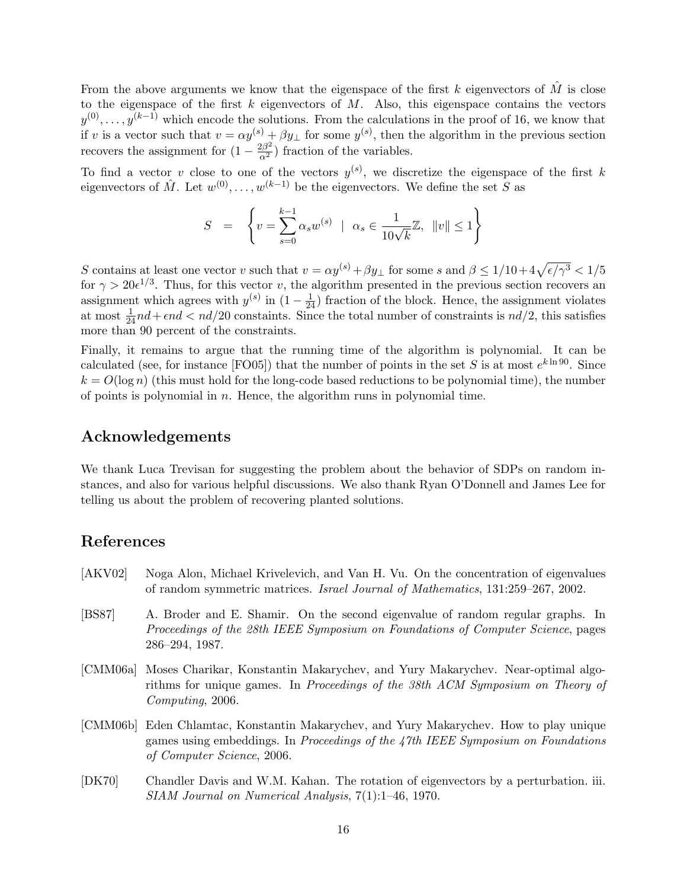From the above arguments we know that the eigenspace of the first k eigenvectors of  $\hat{M}$  is close to the eigenspace of the first  $k$  eigenvectors of  $M$ . Also, this eigenspace contains the vectors  $y^{(0)}, \ldots, y^{(k-1)}$  which encode the solutions. From the calculations in the proof of 16, we know that if v is a vector such that  $v = \alpha y^{(s)} + \beta y_{\perp}$  for some  $y^{(s)}$ , then the algorithm in the previous section recovers the assignment for  $(1 - \frac{2\beta^2}{\alpha^2})$  fraction of the variables.

To find a vector v close to one of the vectors  $y^{(s)}$ , we discretize the eigenspace of the first k eigenvectors of  $\hat{M}$ . Let  $w^{(0)}, \ldots, w^{(k-1)}$  be the eigenvectors. We define the set S as

$$
S = \left\{ v = \sum_{s=0}^{k-1} \alpha_s w^{(s)} \mid \alpha_s \in \frac{1}{10\sqrt{k}} \mathbb{Z}, \|v\| \le 1 \right\}
$$

S contains at least one vector v such that  $v = \alpha y^{(s)} + \beta y_{\perp}$  for some s and  $\beta \leq 1/10 + 4\sqrt{\epsilon/\gamma^3} < 1/5$ for  $\gamma > 20e^{1/3}$ . Thus, for this vector v, the algorithm presented in the previous section recovers an assignment which agrees with  $y^{(s)}$  in  $(1 - \frac{1}{24})$  fraction of the block. Hence, the assignment violates at most  $\frac{1}{24}nd + \epsilon nd < nd/20$  constaints. Since the total number of constraints is  $nd/2$ , this satisfies more than 90 percent of the constraints.

Finally, it remains to argue that the running time of the algorithm is polynomial. It can be calculated (see, for instance [FO05]) that the number of points in the set S is at most  $e^{k \ln 90}$ . Since  $k = O(\log n)$  (this must hold for the long-code based reductions to be polynomial time), the number of points is polynomial in  $n$ . Hence, the algorithm runs in polynomial time.

# Acknowledgements

We thank Luca Trevisan for suggesting the problem about the behavior of SDPs on random instances, and also for various helpful discussions. We also thank Ryan O'Donnell and James Lee for telling us about the problem of recovering planted solutions.

# References

- [AKV02] Noga Alon, Michael Krivelevich, and Van H. Vu. On the concentration of eigenvalues of random symmetric matrices. Israel Journal of Mathematics, 131:259–267, 2002.
- [BS87] A. Broder and E. Shamir. On the second eigenvalue of random regular graphs. In Proceedings of the 28th IEEE Symposium on Foundations of Computer Science, pages 286–294, 1987.
- [CMM06a] Moses Charikar, Konstantin Makarychev, and Yury Makarychev. Near-optimal algorithms for unique games. In Proceedings of the 38th ACM Symposium on Theory of Computing, 2006.
- [CMM06b] Eden Chlamtac, Konstantin Makarychev, and Yury Makarychev. How to play unique games using embeddings. In Proceedings of the 47th IEEE Symposium on Foundations of Computer Science, 2006.
- [DK70] Chandler Davis and W.M. Kahan. The rotation of eigenvectors by a perturbation. iii. SIAM Journal on Numerical Analysis, 7(1):1–46, 1970.